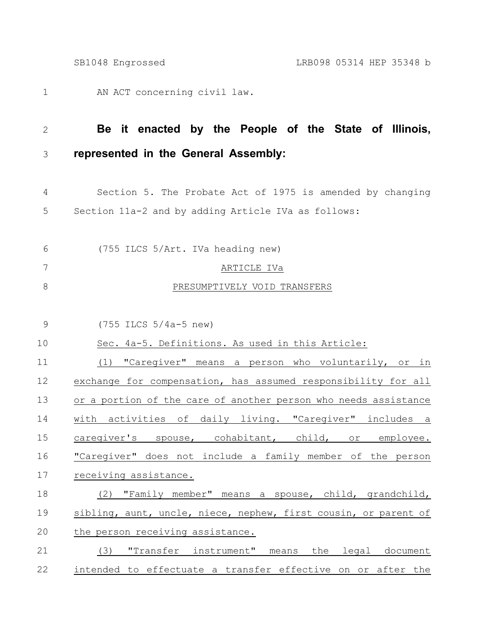|                | LRB098 05314 HEP 35348 b<br>SB1048 Engrossed                    |
|----------------|-----------------------------------------------------------------|
| $\mathbf 1$    | AN ACT concerning civil law.                                    |
| $\mathbf{2}$   | Be it enacted by the People of the State of Illinois,           |
| 3              | represented in the General Assembly:                            |
| $\overline{4}$ | Section 5. The Probate Act of 1975 is amended by changing       |
| 5              | Section 11a-2 and by adding Article IVa as follows:             |
| 6              | (755 ILCS 5/Art. IVa heading new)                               |
| 7              | ARTICLE IVa                                                     |
| $8\,$          | PRESUMPTIVELY VOID TRANSFERS                                    |
| $\mathcal{G}$  | $(755$ ILCS $5/4a-5$ new)                                       |
| 10             | Sec. 4a-5. Definitions. As used in this Article:                |
| 11             | "Caregiver" means a person who voluntarily, or in<br>(1)        |
| 12             | exchange for compensation, has assumed responsibility for all   |
| 13             | or a portion of the care of another person who needs assistance |
| 14             | with activities of daily living. "Caregiver" includes a         |
| 15             | caregiver's spouse, cohabitant, child, or employee.             |
| 16             | "Caregiver" does not include a family member of the person      |
| 17             | receiving assistance.                                           |
| 18             | (2) "Family member" means a spouse, child, grandchild,          |
| 19             | sibling, aunt, uncle, niece, nephew, first cousin, or parent of |
| 20             | the person receiving assistance.                                |
| 21             | (3) "Transfer instrument" means the legal document              |
| 22             | intended to effectuate a transfer effective on or after the     |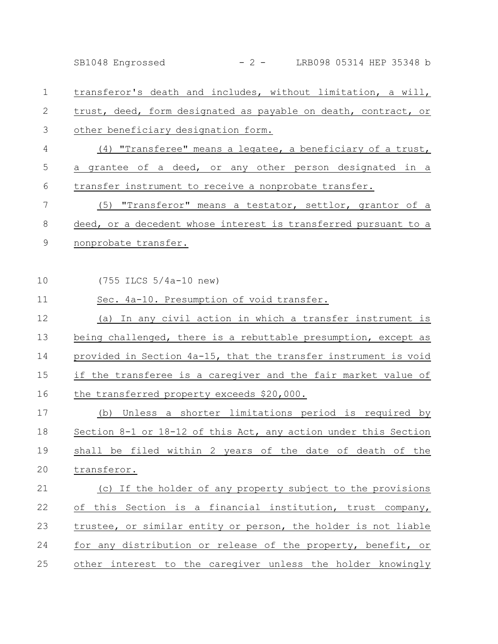transferor's death and includes, without limitation, a will, trust, deed, form designated as payable on death, contract, or other beneficiary designation form. (4) "Transferee" means a legatee, a beneficiary of a trust, a grantee of a deed, or any other person designated in a transfer instrument to receive a nonprobate transfer. (5) "Transferor" means a testator, settlor, grantor of a deed, or a decedent whose interest is transferred pursuant to a nonprobate transfer. (755 ILCS 5/4a-10 new) Sec. 4a-10. Presumption of void transfer. (a) In any civil action in which a transfer instrument is being challenged, there is a rebuttable presumption, except as provided in Section 4a-15, that the transfer instrument is void if the transferee is a caregiver and the fair market value of the transferred property exceeds \$20,000. (b) Unless a shorter limitations period is required by Section 8-1 or 18-12 of this Act, any action under this Section shall be filed within 2 years of the date of death of the transferor. (c) If the holder of any property subject to the provisions of this Section is a financial institution, trust company, trustee, or similar entity or person, the holder is not liable for any distribution or release of the property, benefit, or other interest to the caregiver unless the holder knowingly 1 2 3 4 5 6 7 8 9 10 11 12 13 14 15 16 17 18 19 20 21 22 23 24 25 SB1048 Engrossed - 2 - LRB098 05314 HEP 35348 b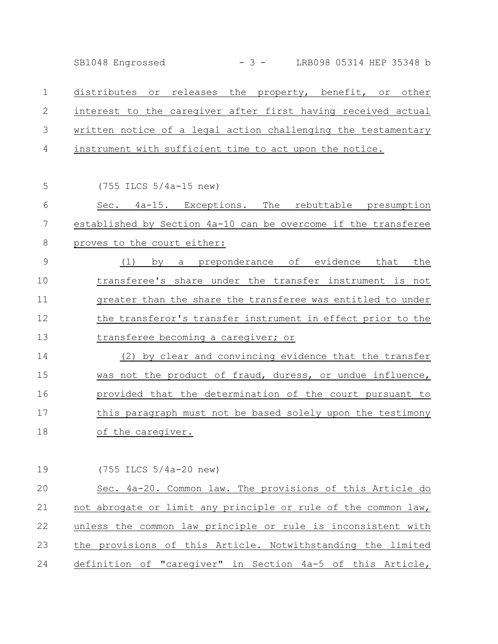SB1048 Engrossed - 3 - LRB098 05314 HEP 35348 b

distributes or releases the property, benefit, or other interest to the caregiver after first having received actual written notice of a legal action challenging the testamentary instrument with sufficient time to act upon the notice. 1 2 3 4

(755 ILCS 5/4a-15 new) Sec. 4a-15. Exceptions. The rebuttable presumption established by Section 4a-10 can be overcome if the transferee proves to the court either: (1) by a preponderance of evidence that the transferee's share under the transfer instrument is not greater than the share the transferee was entitled to under the transferor's transfer instrument in effect prior to the transferee becoming a caregiver; or (2) by clear and convincing evidence that the transfer was not the product of fraud, duress, or undue influence, provided that the determination of the court pursuant to this paragraph must not be based solely upon the testimony of the caregiver. 5 6 7 8 9 10 11 12 13 14 15 16 17 18

(755 ILCS 5/4a-20 new) Sec. 4a-20. Common law. The provisions of this Article do not abrogate or limit any principle or rule of the common law, unless the common law principle or rule is inconsistent with the provisions of this Article. Notwithstanding the limited definition of "caregiver" in Section 4a-5 of this Article, 19 20 21 22 23 24